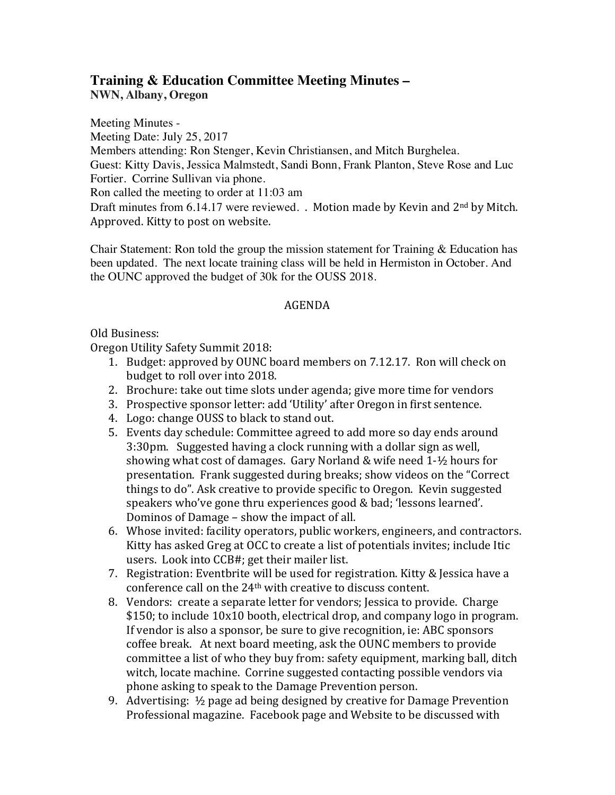## **Training & Education Committee Meeting Minutes – NWN, Albany, Oregon**

Meeting Minutes - Meeting Date: July 25, 2017 Members attending: Ron Stenger, Kevin Christiansen, and Mitch Burghelea. Guest: Kitty Davis, Jessica Malmstedt, Sandi Bonn, Frank Planton, Steve Rose and Luc Fortier. Corrine Sullivan via phone. Ron called the meeting to order at 11:03 am Draft minutes from  $6.14.17$  were reviewed. . Motion made by Kevin and  $2<sup>nd</sup>$  by Mitch. Approved. Kitty to post on website.

Chair Statement: Ron told the group the mission statement for Training & Education has been updated. The next locate training class will be held in Hermiston in October. And the OUNC approved the budget of 30k for the OUSS 2018.

## AGENDA

Old Business:

Oregon Utility Safety Summit 2018:

- 1. Budget: approved by OUNC board members on 7.12.17. Ron will check on budget to roll over into 2018.
- 2. Brochure: take out time slots under agenda; give more time for vendors
- 3. Prospective sponsor letter: add 'Utility' after Oregon in first sentence.
- 4. Logo: change OUSS to black to stand out.
- 5. Events day schedule: Committee agreed to add more so day ends around 3:30pm. Suggested having a clock running with a dollar sign as well, showing what cost of damages. Gary Norland & wife need  $1-1/2$  hours for presentation. Frank suggested during breaks; show videos on the "Correct things to do". Ask creative to provide specific to Oregon. Kevin suggested speakers who've gone thru experiences good & bad; 'lessons learned'. Dominos of Damage - show the impact of all.
- 6. Whose invited: facility operators, public workers, engineers, and contractors. Kitty has asked Greg at OCC to create a list of potentials invites; include Itic users. Look into CCB#; get their mailer list.
- 7. Registration: Eventbrite will be used for registration. Kitty & Jessica have a conference call on the 24<sup>th</sup> with creative to discuss content.
- 8. Vendors: create a separate letter for vendors; Jessica to provide. Charge \$150; to include 10x10 booth, electrical drop, and company logo in program. If vendor is also a sponsor, be sure to give recognition, ie: ABC sponsors coffee break. At next board meeting, ask the OUNC members to provide committee a list of who they buy from: safety equipment, marking ball, ditch witch, locate machine. Corrine suggested contacting possible vendors via phone asking to speak to the Damage Prevention person.
- 9. Advertising:  $\frac{1}{2}$  page ad being designed by creative for Damage Prevention Professional magazine. Facebook page and Website to be discussed with